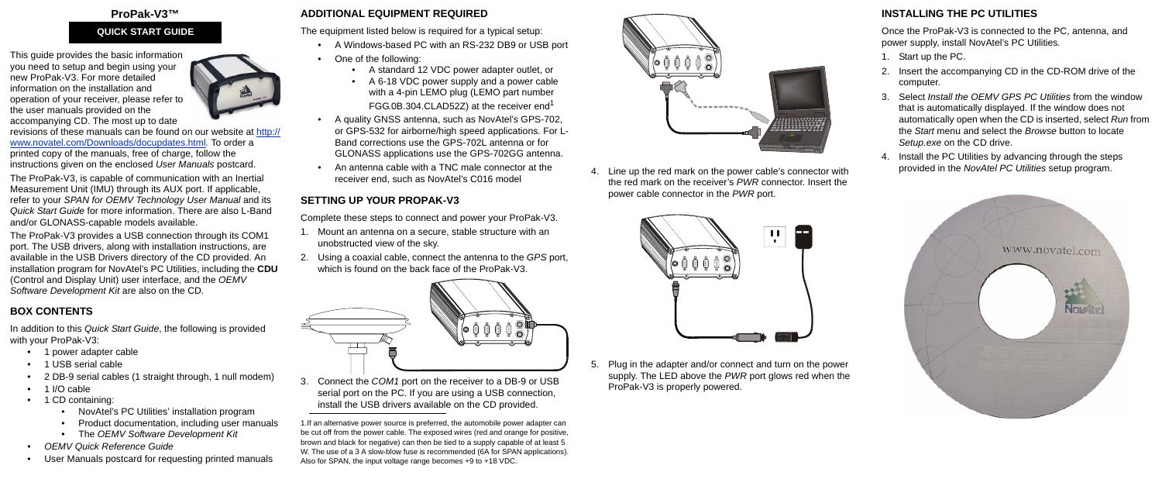#### **ProPak-V3™**

This guide provides the basic information you need to setup and begin using your new ProPak-V3. For more detailed information on the installation and [operation of your receiver, please refer to](http://www.novatel.com/Downloads/docupdates.html)  the user manuals provided on the accompanying CD. The most up to date



[revisions of these manuals can be found on our website at](http://www.novatel.com/Downloads/docupdates.html) http:// www.novatel.com/Downloads/docupdates.html. To order a printed copy of the manuals, free of charge, follow the instructions given on the enclosed *User Manuals* postcard.

The ProPak-V3, is capable of communication with an Inertial Measurement Unit (IMU) through its AUX port. If applicable, refer to your *SPAN for OEMV Technology User Manual* and its *Quick Start Guide* for more information. There are also L-Band and/or GLONASS-capable models available.

The ProPak-V3 provides a USB connection through its COM1 port. The USB drivers, along with installation instructions, are available in the USB Drivers directory of the CD provided. An installation program for NovAtel's PC Utilities, including the **CDU** (Control and Display Unit) user interface, and the *OEMV Software Development Kit* are also on the CD*.*

# **BOX CONTENTS**

In addition to this *Quick Start Guide*, the following is provided with your ProPak-V3:

- 1 power adapter cable
- 1 USB serial cable
- 2 DB-9 serial cables (1 straight through, 1 null modem)
- 1 I/O cable
- 1 CD containing:
	- NovAtel's PC Utilities' installation program
	- Product documentation, including user manuals
	- The *OEMV Software Development Kit*
- *OEMV Quick Reference Guide*
- User Manuals postcard for requesting printed manuals

# **ADDITIONAL EQUIPMENT REQUIRED**

The equipment listed below is required for a typical setup:

- Start up the PC.
- 2. Insert the accompanying CD in the CD-ROM drive of the computer.
- 3. Select *Install the OEMV GPS PC Utilities* from the window that is automatically displayed. If the window does not automatically open when the CD is inserted, select *Run* from the *Start* menu and select the *Browse* button to locate *Setup.exe* on the CD drive.
- 4. Install the PC Utilities by advancing through the steps provided in the *NovAtel PC Utilities* setup program.



- A Windows-based PC with an RS-232 DB9 or USB port
- One of the following:
	- A standard 12 VDC power adapter outlet, or
	- A 6-18 VDC power supply and a power cable with a 4-pin LEMO plug (LEMO part number FGG.0B.304.CLAD52Z) at the receiver end<sup>1</sup>
- A quality GNSS antenna, such as NovAtel's GPS-702, or GPS-532 for airborne/high speed applications. For L-Band corrections use the GPS-702L antenna or for GLONASS applications use the GPS-702GG antenna.
- An antenna cable with a TNC male connector at the receiver end, such as NovAtel's C016 model

# **SETTING UP YOUR PROPAK-V3**

Complete these steps to connect and power your ProPak-V3.

- 1. Mount an antenna on a secure, stable structure with an unobstructed view of the sky.
- 2. Using a coaxial cable, connect the antenna to the *GPS* port, which is found on the back face of the ProPak-V3.



3. Connect the *COM1* port on the receiver to a DB-9 or USB serial port on the PC. If you are using a USB connection, install the USB drivers available on the CD provided.

4. Line up the red mark on the power cable's connector with the red mark on the receiver's *PWR* connector. Insert the power cable connector in the *PWR* port.



5. Plug in the adapter and/or connect and turn on the power supply. The LED above the *PWR* port glows red when the ProPak-V3 is properly powered.

# **INSTALLING THE PC UTILITIES**

Once the ProPak-V3 is connected to the PC, antenna, and power supply, install NovAtel's PC Utilities*.*

# **QUICK START GUIDE**



<sup>1.</sup>If an alternative power source is preferred, the automobile power adapter can be cut off from the power cable. The exposed wires (red and orange for positive, brown and black for negative) can then be tied to a supply capable of at least 5 W. The use of a 3 A slow-blow fuse is recommended (6A for SPAN applications). Also for SPAN, the input voltage range becomes +9 to +18 VDC.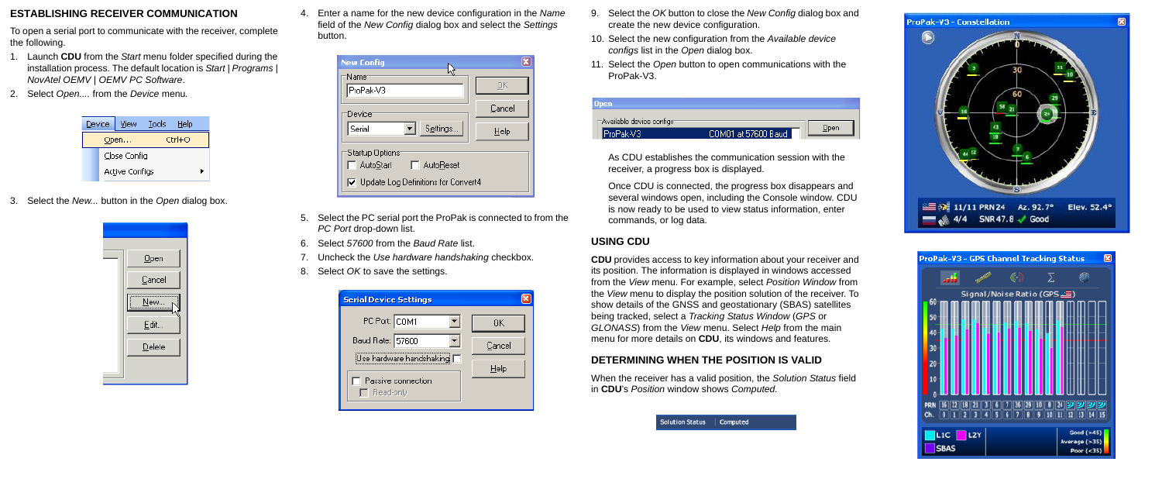## **ESTABLISHING RECEIVER COMMUNICATION**

To open a serial port to communicate with the receiver, complete the following.

- 1. Launch **CDU** from the *Start* menu folder specified during the installation process. The default location is *Start | Programs | NovAtel OEMV | OEMV PC Software*.
- 2. Select *Open....* from the *Device* menu*.*

| Device         | View           | Tools | Help |  |  |
|----------------|----------------|-------|------|--|--|
| Ctrl+O<br>Open |                |       |      |  |  |
|                | Close Config   |       |      |  |  |
|                | Active Configs |       |      |  |  |

3. Select the *New...* button in the *Open* dialog box.



4. Enter a name for the new device configuration in the *Name* field of the *New Config* dialog box and select the *Settings* button.

| <b>New Config</b>                            | ×      |  |  |  |  |
|----------------------------------------------|--------|--|--|--|--|
| 'Name'<br>ProPak-V3                          | UK.    |  |  |  |  |
| Device                                       | Cancel |  |  |  |  |
| Settings<br>Serial                           | Help   |  |  |  |  |
| 'Startup Options'<br>□ AutoStart □ AutoReset |        |  |  |  |  |
| □ Update Log Definitions for Convert4        |        |  |  |  |  |

- 5. Select the PC serial port the ProPak is connected to from the *PC Port* drop-down list.
- 6. Select *57600* from the *Baud Rate* list.
- 7. Uncheck the *Use hardware handshaking* checkbox.
- 8. Select *OK* to save the settings.



- 9. Select the *OK* button to close the *New Config* dialog box and create the new device configuration.
- 10. Select the new configuration from the *Available device configs* list in the *Open* dialog box.
- 11. Select the *Open* button to open communications with the ProPak-V3.

| Jpen                                   |                     |      |
|----------------------------------------|---------------------|------|
| ⊤Available device configs <sup>.</sup> |                     |      |
| ProPak-V3                              | COM01 at 57600 Baud | Joen |

As CDU establishes the communication session with the receiver, a progress box is displayed.

Once CDU is connected, the progress box disappears and several windows open, including the Console window. CDU is now ready to be used to view status information, enter commands, or log data.

# **USING CDU**

**CDU** provides access to key information about your receiver and its position. The information is displayed in windows accessed from the *View* menu. For example, select *Position Window* from the *View* menu to display the position solution of the receiver. To show details of the GNSS and geostationary (SBAS) satellites being tracked, select a *Tracking Status Window* (*GPS* or *GLONASS*) from the *View* menu. Select *Help* from the main menu for more details on **CDU**, its windows and features.

# **DETERMINING WHEN THE POSITION IS VALID**

When the receiver has a valid position, the *Solution Status* field in **CDU**'s *Position* window shows *Computed.*



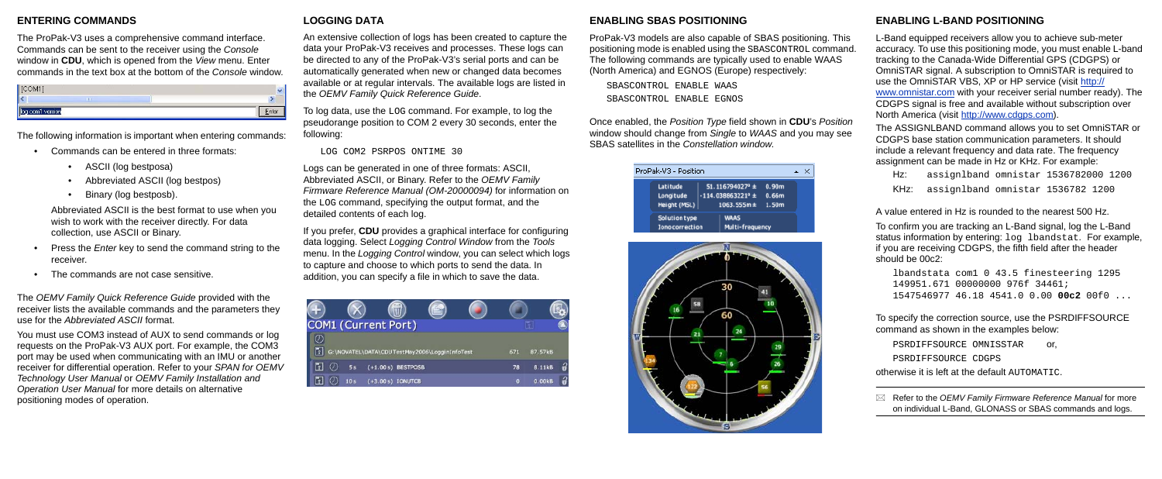## **ENTERING COMMANDS**

The ProPak-V3 uses a comprehensive command interface. Commands can be sent to the receiver using the *Console* window in **CDU**, which is opened from the *View* menu. Enter commands in the text box at the bottom of the *Console* window.

| $\mathcal{L}OM1$<br><b>LCC</b> |   |     |  |
|--------------------------------|---|-----|--|
|                                | Ш | --- |  |
| log com1 version               |   |     |  |

The following information is important when entering commands:

- Commands can be entered in three formats:
	- ASCII (log bestposa)
	- Abbreviated ASCII (log bestpos)
	- Binary (log bestposb).

Abbreviated ASCII is the best format to use when you wish to work with the receiver directly. For data collection, use ASCII or Binary.

- Press the *Enter* key to send the command string to the receiver.
- The commands are not case sensitive.

The *OEMV Family Quick Reference Guide* provided with the receiver lists the available commands and the parameters they use for the *Abbreviated ASCII* format.

You must use COM3 instead of AUX to send commands or log requests on the ProPak-V3 AUX port. For example, the COM3 port may be used when communicating with an IMU or another receiver for differential operation. Refer to your *SPAN for OEMV Technology User Manual* or *OEMV Family Installation and Operation User Manual* for more details on alternative positioning modes of operation.

# **LOGGING DATA**

An extensive collection of logs has been created to capture the data your ProPak-V3 receives and processes. These logs can be directed to any of the ProPak-V3's serial ports and can be automatically generated when new or changed data becomes available or at regular intervals. The available logs are listed in the *OEMV Family Quick Reference Guide*.

To log data, use the LOG command. For example, to log the pseudorange position to COM 2 every 30 seconds, enter the following:

LOG COM2 PSRPOS ONTIME 30

Logs can be generated in one of three formats: ASCII, Abbreviated ASCII, or Binary. Refer to the *OEMV Family Firmware Reference Manual (OM-20000094)* for information on the LOG command, specifying the output format, and the detailed contents of each log.

> PSRDIFFSOURCE OMNISSTAR or, PSRDIFFSOURCE CDGPS

If you prefer, **CDU** provides a graphical interface for configuring data logging. Select *Logging Control Window* from the *Tools* menu. In the *Logging Control* window, you can select which logs to capture and choose to which ports to send the data. In addition, you can specify a file in which to save the data.

| <b>COM1 (Current Port)</b> |                      |                                               |     |         |  |
|----------------------------|----------------------|-----------------------------------------------|-----|---------|--|
|                            |                      |                                               |     |         |  |
|                            |                      | G:\NOVATEL\DATA\CDUTestMay2006\LogginInfoTest | 671 | 87.57kB |  |
| $\mathbb{F}$               | $(+1.00 s)$ BESTPOSB |                                               | 78  | 8.11kB  |  |
|                            | $(+3.00 s)$ IONUTCB  |                                               | o   | 0.00kB  |  |

### **ENABLING SBAS POSITIONING**

ProPak-V3 models are also capable of SBAS positioning. This positioning mode is enabled using the SBASCONTROL command. The following commands are typically used to enable WAAS (North America) and EGNOS (Europe) respectively:

SBASCONTROL ENABLE WAAS SBASCONTROL ENABLE EGNOS

Once enabled, the *Position Type* field shown in **CDU**'s *Position* window should change from *Single* to *WAAS* and you may see SBAS satellites in the *Constellation window*.

| ProPak-V3 - Position                    |  |                                                                  |                                     |  |  |
|-----------------------------------------|--|------------------------------------------------------------------|-------------------------------------|--|--|
| Latitude<br>Longitude<br>Height (MSL)   |  | 51.116794027° ±<br>$-114.038863221^{\circ}$ ±<br>$1063.555m \pm$ | 0.90 <sub>m</sub><br>0.66m<br>1.50m |  |  |
| Solution type<br><b>Iono correction</b> |  | <b>WAAS</b><br>Multi-frequency                                   |                                     |  |  |



# **ENABLING L-BAND POSITIONING**

L-Band equipped receivers allow you to achieve sub-meter accuracy. To use this positioning mode, you must enable L-band tracking to the Canada-Wide Differential GPS (CDGPS) or OmniSTAR signal. A subscription to OmniSTAR is required to use the OmniSTAR VBS, XP or HP service (visit [http://](http://www.omnistar.com/) [www.omnistar.com](http://www.omnistar.com/) with your receiver serial number ready). The CDGPS signal is free and available without subscription over North America (visit [h](http://www.cdgps.com)ttp://www.cdgps.com).

The ASSIGNLBAND command allows you to set OmniSTAR or CDGPS base station communication parameters. It should include a relevant frequency and data rate. The frequency assignment can be made in Hz or KHz. For example:

Hz: assignlband omnistar 1536782000 1200 KHz: assignlband omnistar 1536782 1200

A value entered in Hz is rounded to the nearest 500 Hz.

To confirm you are tracking an L-Band signal, log the L-Band status information by entering: log lbandstat. For example, if you are receiving CDGPS, the fifth field after the header should be 00c2:

```
lbandstata com1 0 43.5 finesteering 1295
149951.671 00000000 976f 34461; 
1547546977 46.18 4541.0 0.00 00c2 00f0 ...
```
To specify the correction source, use the PSRDIFFSOURCE command as shown in the examples below:

otherwise it is left at the default AUTOMATIC.

 Refer to the *OEMV Family Firmware Reference Manual* for more on individual L-Band, GLONASS or SBAS commands and logs.